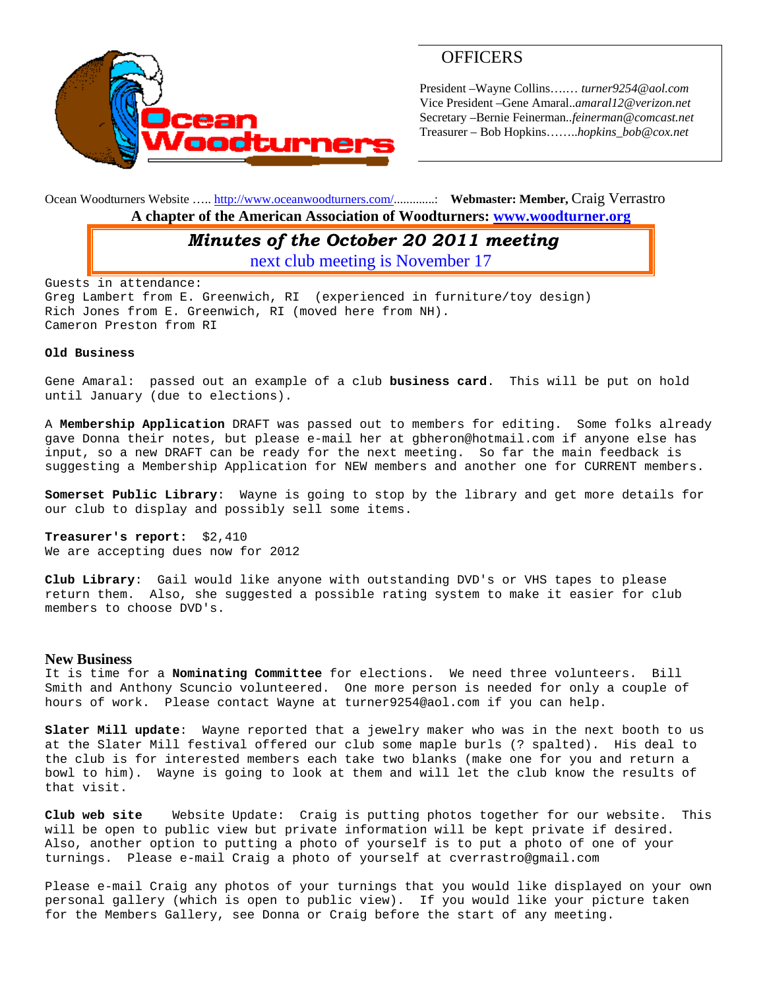

# **OFFICERS**

President –Wayne Collins….… *turner9254@aol.com*  Vice President –Gene Amaral..*amaral12@verizon.net* Secretary –Bernie Feinerman*..feinerman@comcast.net*  Treasurer – Bob Hopkins……..*hopkins\_bob@cox.net*

Ocean Woodturners Website ….. http://www.oceanwoodturners.com/.............: **Webmaster: Member,** Craig Verrastro **A chapter of the American Association of Woodturners: www.woodturner.org** 

### *Minutes of the October 20 2011 meeting*

next club meeting is November 17

Guests in attendance: Greg Lambert from E. Greenwich, RI (experienced in furniture/toy design) Rich Jones from E. Greenwich, RI (moved here from NH). Cameron Preston from RI

#### **Old Business**

Gene Amaral: passed out an example of a club **business card**. This will be put on hold until January (due to elections).

A **Membership Application** DRAFT was passed out to members for editing. Some folks already gave Donna their notes, but please e-mail her at gbheron@hotmail.com if anyone else has input, so a new DRAFT can be ready for the next meeting. So far the main feedback is suggesting a Membership Application for NEW members and another one for CURRENT members.

**Somerset Public Library**: Wayne is going to stop by the library and get more details for our club to display and possibly sell some items.

**Treasurer's report:** \$2,410 We are accepting dues now for 2012

**Club Library**: Gail would like anyone with outstanding DVD's or VHS tapes to please return them. Also, she suggested a possible rating system to make it easier for club members to choose DVD's.

#### **New Business**

It is time for a **Nominating Committee** for elections. We need three volunteers. Bill Smith and Anthony Scuncio volunteered. One more person is needed for only a couple of hours of work. Please contact Wayne at turner9254@aol.com if you can help.

**Slater Mill update**: Wayne reported that a jewelry maker who was in the next booth to us at the Slater Mill festival offered our club some maple burls (? spalted). His deal to the club is for interested members each take two blanks (make one for you and return a bowl to him). Wayne is going to look at them and will let the club know the results of that visit.

**Club web site** Website Update: Craig is putting photos together for our website. This will be open to public view but private information will be kept private if desired. Also, another option to putting a photo of yourself is to put a photo of one of your turnings. Please e-mail Craig a photo of yourself at cverrastro@gmail.com

Please e-mail Craig any photos of your turnings that you would like displayed on your own personal gallery (which is open to public view). If you would like your picture taken for the Members Gallery, see Donna or Craig before the start of any meeting.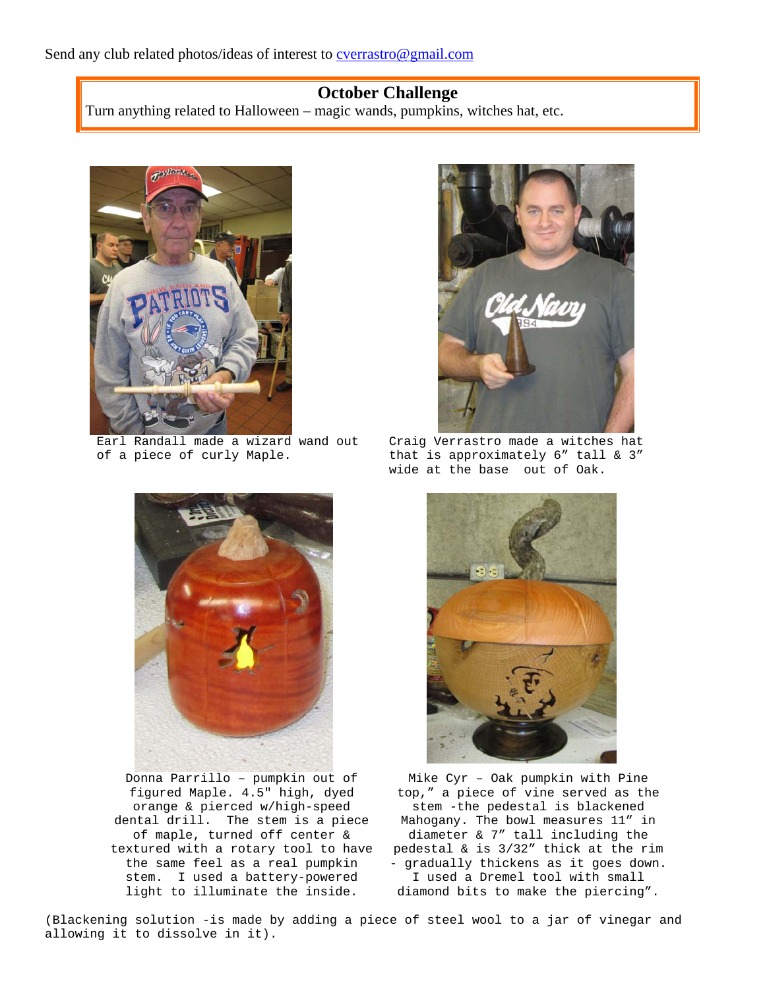# **October Challenge**

Turn anything related to Halloween – magic wands, pumpkins, witches hat, etc.



Earl Randall made a wizard wand out of a piece of curly Maple.



Craig Verrastro made a witches hat that is approximately 6" tall & 3" wide at the base out of Oak.



Donna Parrillo – pumpkin out of figured Maple. 4.5" high, dyed orange & pierced w/high-speed dental drill. The stem is a piece of maple, turned off center & textured with a rotary tool to have the same feel as a real pumpkin stem. I used a battery-powered light to illuminate the inside.



Mike Cyr – Oak pumpkin with Pine top," a piece of vine served as the stem -the pedestal is blackened Mahogany. The bowl measures 11" in diameter & 7" tall including the pedestal & is 3/32" thick at the rim - gradually thickens as it goes down. I used a Dremel tool with small diamond bits to make the piercing".

(Blackening solution -is made by adding a piece of steel wool to a jar of vinegar and allowing it to dissolve in it).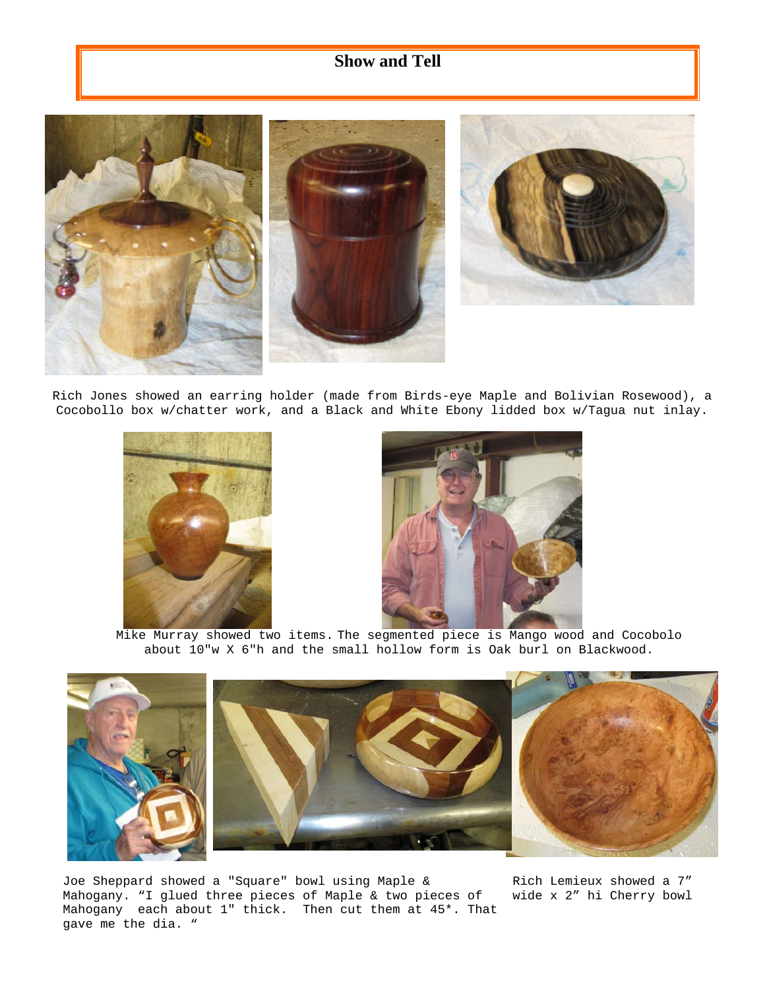# **Show and Tell**





Rich Jones showed an earring holder (made from Birds-eye Maple and Bolivian Rosewood), a Cocobollo box w/chatter work, and a Black and White Ebony lidded box w/Tagua nut inlay.





Mike Murray showed two items. The segmented piece is Mango wood and Cocobolo about 10"w X 6"h and the small hollow form is Oak burl on Blackwood.



Joe Sheppard showed a "Square" bowl using Maple & Mahogany. "I glued three pieces of Maple & two pieces of Mahogany each about 1" thick. Then cut them at 45\*. That gave me the dia. "

Rich Lemieux showed a 7" wide x 2" hi Cherry bowl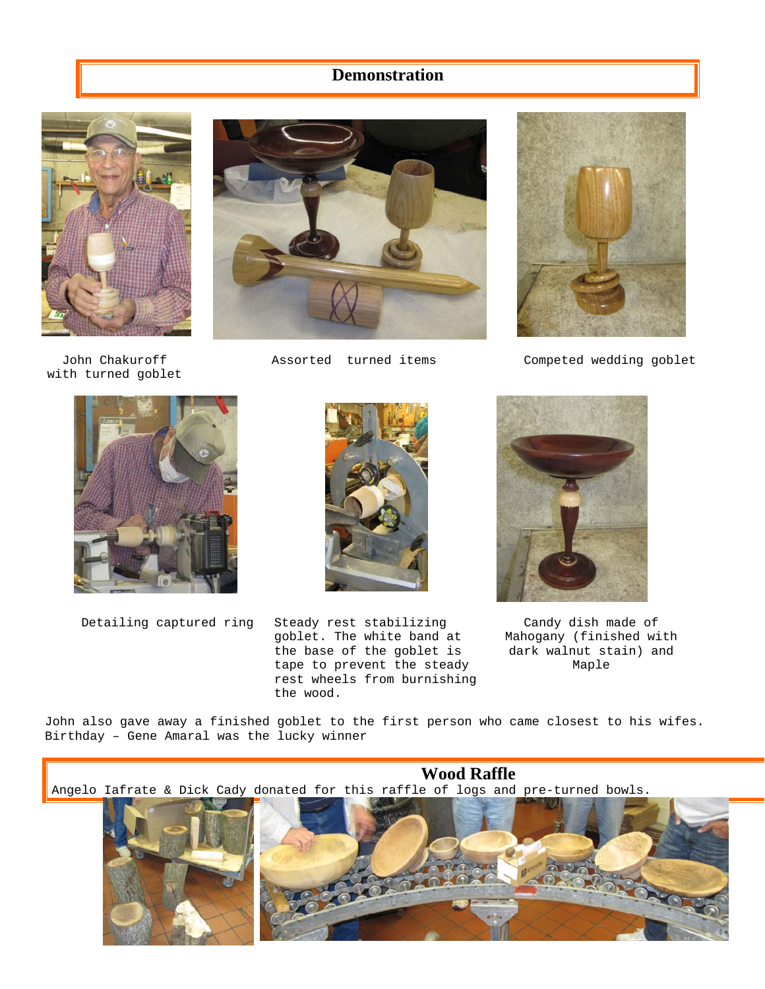# **Demonstration**



John Chakuroff with turned goblet





Assorted turned items Competed wedding goblet





Detailing captured ring Steady rest stabilizing goblet. The white band at the base of the goblet is tape to prevent the steady rest wheels from burnishing the wood.



Candy dish made of Mahogany (finished with dark walnut stain) and Maple

John also gave away a finished goblet to the first person who came closest to his wifes. Birthday – Gene Amaral was the lucky winner





**Wood Raffle**